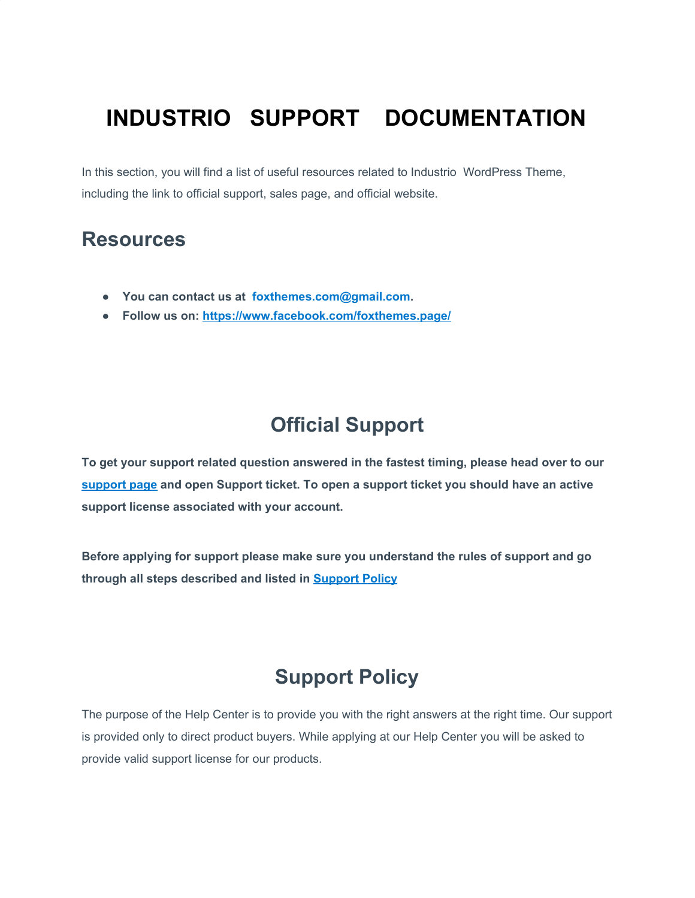# **INDUSTRIO SUPPORT DOCUMENTATION**

In this section, you will find a list of useful resources related to Industrio WordPress Theme, including the link to official support, sales page, and official website.

#### **Resources**

- **● You can contact us at foxthemes.com@gmail.com.**
- **● Follow us on:<https://www.facebook.com/foxthemes.page/>**

#### **Official Support**

**To get your support related question answered in the fastest timing, please head over to our [support page](https://wp.themedemo.co/help-truethemes/) and open Support ticket. To open a support ticket you should have an active support license associated with your account.**

**Before applying for support please make sure you understand the rules of support and go through all steps described and listed in [Support Policy](https://help.foxthemes.com/article/585-support-policy)**

### **Support Policy**

The purpose of the Help Center is to provide you with the right answers at the right time. Our support is provided only to direct product buyers. While applying at our Help Center you will be asked to provide valid support license for our products.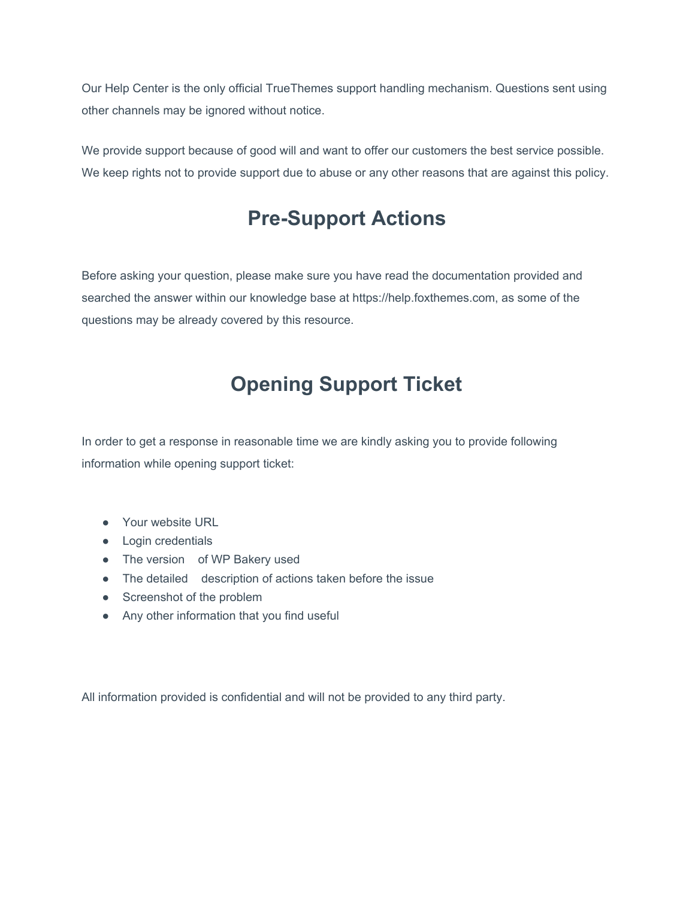Our Help Center is the only official TrueThemes support handling mechanism. Questions sent using other channels may be ignored without notice.

We provide support because of good will and want to offer our customers the best service possible. We keep rights not to provide support due to abuse or any other reasons that are against this policy.

### **Pre-Support Actions**

Before asking your question, please make sure you have read the documentation provided and searched the answer within our knowledge base at https://help.foxthemes.com, as some of the questions may be already covered by this resource.

## **Opening Support Ticket**

In order to get a response in reasonable time we are kindly asking you to provide following information while opening support ticket:

- Your website URL
- Login credentials
- The version of WP Bakery used
- The detailed description of actions taken before the issue
- Screenshot of the problem
- Any other information that you find useful

All information provided is confidential and will not be provided to any third party.